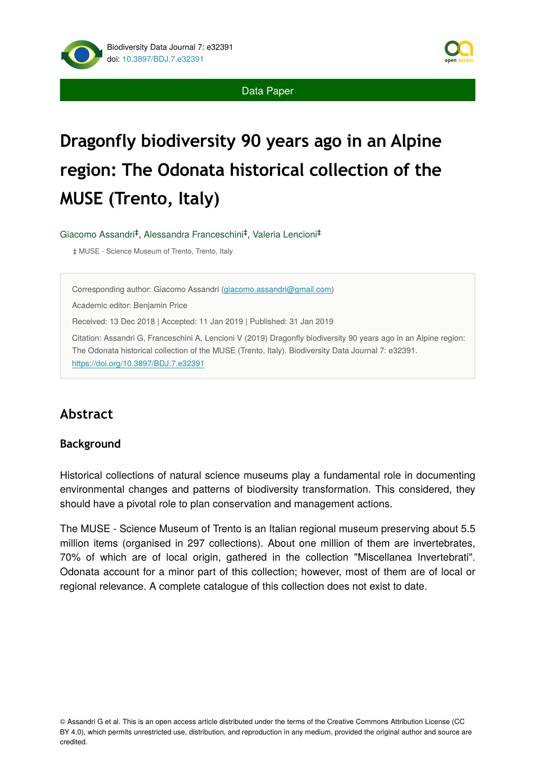Data Paper

# **Dragonfly biodiversity 90 years ago in an Alpine region: The Odonata historical collection of the MUSE (Trento, Italy)**

Giacomo Assandri<sup>‡</sup>, Alessandra Franceschini<sup>‡</sup>, Valeria Lencioni<sup>‡</sup>

‡ MUSE - Science Museum of Trento, Trento, Italy

Corresponding author: Giacomo Assandri ([giacomo.assandri@gmail.com](mailto:giacomo.assandri@gmail.com))

Academic editor: Benjamin Price

Received: 13 Dec 2018 | Accepted: 11 Jan 2019 | Published: 31 Jan 2019

Citation: Assandri G, Franceschini A, Lencioni V (2019) Dragonfly biodiversity 90 years ago in an Alpine region: The Odonata historical collection of the MUSE (Trento, Italy). Biodiversity Data Journal 7: e32391. <https://doi.org/10.3897/BDJ.7.e32391>

# **Abstract**

#### **Background**

Historical collections of natural science museums play a fundamental role in documenting environmental changes and patterns of biodiversity transformation. This considered, they should have a pivotal role to plan conservation and management actions.

The MUSE - Science Museum of Trento is an Italian regional museum preserving about 5.5 million items (organised in 297 collections). About one million of them are invertebrates, 70% of which are of local origin, gathered in the collection "Miscellanea Invertebrati". Odonata account for a minor part of this collection; however, most of them are of local or regional relevance. A complete catalogue of this collection does not exist to date.

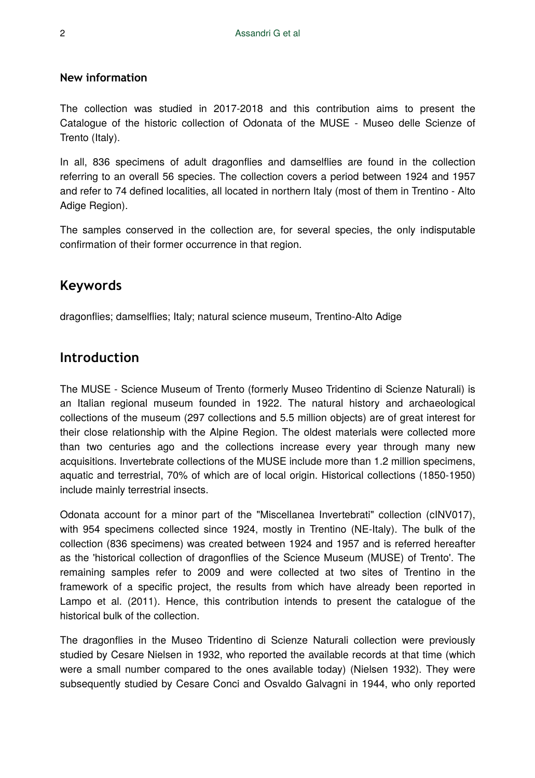#### **New information**

The collection was studied in 2017-2018 and this contribution aims to present the Catalogue of the historic collection of Odonata of the MUSE - Museo delle Scienze of Trento (Italy).

In all, 836 specimens of adult dragonflies and damselflies are found in the collection referring to an overall 56 species. The collection covers a period between 1924 and 1957 and refer to 74 defined localities, all located in northern Italy (most of them in Trentino - Alto Adige Region).

The samples conserved in the collection are, for several species, the only indisputable confirmation of their former occurrence in that region.

# **Keywords**

dragonflies; damselflies; Italy; natural science museum, Trentino-Alto Adige

# **Introduction**

The MUSE - Science Museum of Trento (formerly Museo Tridentino di Scienze Naturali) is an Italian regional museum founded in 1922. The natural history and archaeological collections of the museum (297 collections and 5.5 million objects) are of great interest for their close relationship with the Alpine Region. The oldest materials were collected more than two centuries ago and the collections increase every year through many new acquisitions. Invertebrate collections of the MUSE include more than 1.2 million specimens, aquatic and terrestrial, 70% of which are of local origin. Historical collections (1850-1950) include mainly terrestrial insects.

Odonata account for a minor part of the "Miscellanea Invertebrati" collection (cINV017), with 954 specimens collected since 1924, mostly in Trentino (NE-Italy). The bulk of the collection (836 specimens) was created between 1924 and 1957 and is referred hereafter as the 'historical collection of dragonflies of the Science Museum (MUSE) of Trento'. The remaining samples refer to 2009 and were collected at two sites of Trentino in the framework of a specific project, the results from which have already been reported in Lampo et al. (2011). Hence, this contribution intends to present the catalogue of the historical bulk of the collection.

The dragonflies in the Museo Tridentino di Scienze Naturali collection were previously studied by Cesare Nielsen in 1932, who reported the available records at that time (which were a small number compared to the ones available today) (Nielsen 1932). They were subsequently studied by Cesare Conci and Osvaldo Galvagni in 1944, who only reported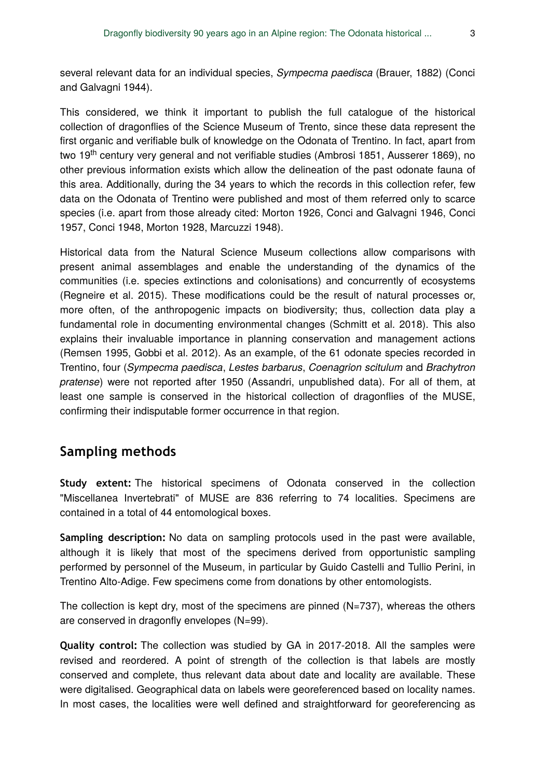several relevant data for an individual species, *Sympecma paedisca* (Brauer, 1882) (Conci and Galvagni 1944).

This considered, we think it important to publish the full catalogue of the historical collection of dragonflies of the Science Museum of Trento, since these data represent the first organic and verifiable bulk of knowledge on the Odonata of Trentino. In fact, apart from two 19<sup>th</sup> century very general and not verifiable studies (Ambrosi 1851, Ausserer 1869), no other previous information exists which allow the delineation of the past odonate fauna of this area. Additionally, during the 34 years to which the records in this collection refer, few data on the Odonata of Trentino were published and most of them referred only to scarce species (i.e. apart from those already cited: Morton 1926, Conci and Galvagni 1946, Conci 1957, Conci 1948, Morton 1928, Marcuzzi 1948).

Historical data from the Natural Science Museum collections allow comparisons with present animal assemblages and enable the understanding of the dynamics of the communities (i.e. species extinctions and colonisations) and concurrently of ecosystems (Regneire et al. 2015). These modifications could be the result of natural processes or, more often, of the anthropogenic impacts on biodiversity; thus, collection data play a fundamental role in documenting environmental changes (Schmitt et al. 2018). This also explains their invaluable importance in planning conservation and management actions (Remsen 1995, Gobbi et al. 2012). As an example, of the 61 odonate species recorded in Trentino, four (*Sympecma paedisca*, *Lestes barbarus*, *Coenagrion scitulum* and *Brachytron pratense*) were not reported after 1950 (Assandri, unpublished data). For all of them, at least one sample is conserved in the historical collection of dragonflies of the MUSE, confirming their indisputable former occurrence in that region.

### **Sampling methods**

**Study extent:** The historical specimens of Odonata conserved in the collection "Miscellanea Invertebrati" of MUSE are 836 referring to 74 localities. Specimens are contained in a total of 44 entomological boxes.

**Sampling description:** No data on sampling protocols used in the past were available, although it is likely that most of the specimens derived from opportunistic sampling performed by personnel of the Museum, in particular by Guido Castelli and Tullio Perini, in Trentino Alto-Adige. Few specimens come from donations by other entomologists.

The collection is kept dry, most of the specimens are pinned (N=737), whereas the others are conserved in dragonfly envelopes (N=99).

**Quality control:** The collection was studied by GA in 2017-2018. All the samples were revised and reordered. A point of strength of the collection is that labels are mostly conserved and complete, thus relevant data about date and locality are available. These were digitalised. Geographical data on labels were georeferenced based on locality names. In most cases, the localities were well defined and straightforward for georeferencing as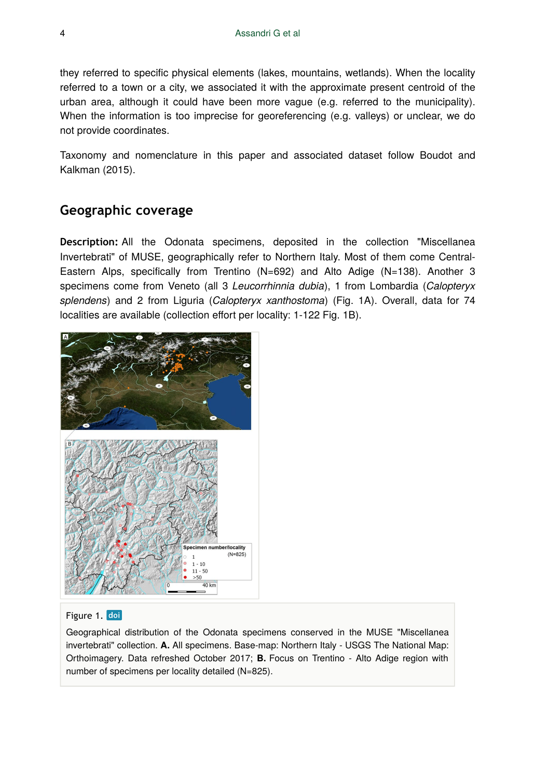they referred to specific physical elements (lakes, mountains, wetlands). When the locality referred to a town or a city, we associated it with the approximate present centroid of the urban area, although it could have been more vague (e.g. referred to the municipality). When the information is too imprecise for georeferencing (e.g. valleys) or unclear, we do not provide coordinates.

Taxonomy and nomenclature in this paper and associated dataset follow Boudot and Kalkman (2015).

# **Geographic coverage**

**Description:** All the Odonata specimens, deposited in the collection "Miscellanea Invertebrati" of MUSE, geographically refer to Northern Italy. Most of them come Central-Eastern Alps, specifically from Trentino  $(N=692)$  and Alto Adige  $(N=138)$ . Another 3 specimens come from Veneto (all 3 *Leucorrhinnia dubia*), 1 from Lombardia (*Calopteryx splendens*) and 2 from Liguria (*Calopteryx xanthostoma*) (Fig. 1A). Overall, data for 74 localities are available (collection effort per locality: 1-122 Fig. 1B).



#### Figure 1. doi

Geographical distribution of the Odonata specimens conserved in the MUSE "Miscellanea invertebrati" collection. **A.** All specimens. Base-map: Northern Italy - USGS The National Map: Orthoimagery. Data refreshed October 2017; **B.** Focus on Trentino - Alto Adige region with number of specimens per locality detailed (N=825).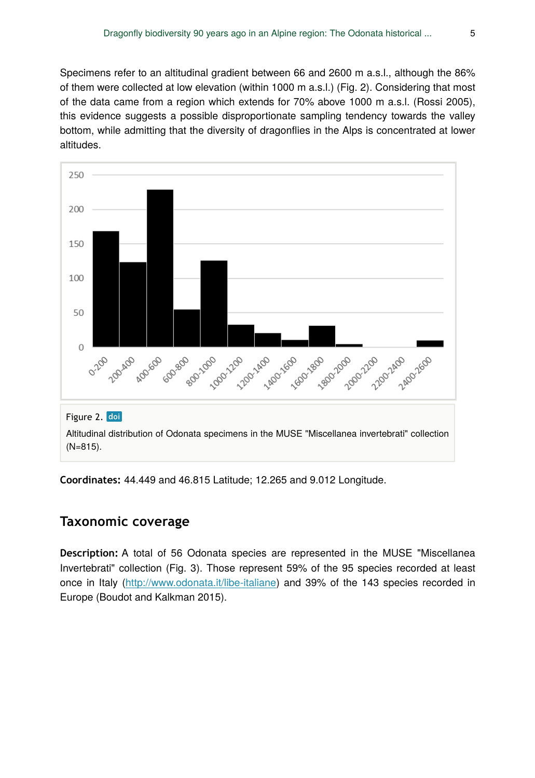Specimens refer to an altitudinal gradient between 66 and 2600 m a.s.l., although the 86% of them were collected at low elevation (within 1000 m a.s.l.) (Fig. 2). Considering that most of the data came from a region which extends for 70% above 1000 m a.s.l. (Rossi 2005), this evidence suggests a possible disproportionate sampling tendency towards the valley bottom, while admitting that the diversity of dragonflies in the Alps is concentrated at lower altitudes.



**Coordinates:** 44.449 and 46.815 Latitude; 12.265 and 9.012 Longitude.

### **Taxonomic coverage**

**Description:** A total of 56 Odonata species are represented in the MUSE "Miscellanea Invertebrati" collection (Fig. 3). Those represent 59% of the 95 species recorded at least once in Italy (<http://www.odonata.it/libe-italiane>) and 39% of the 143 species recorded in Europe (Boudot and Kalkman 2015).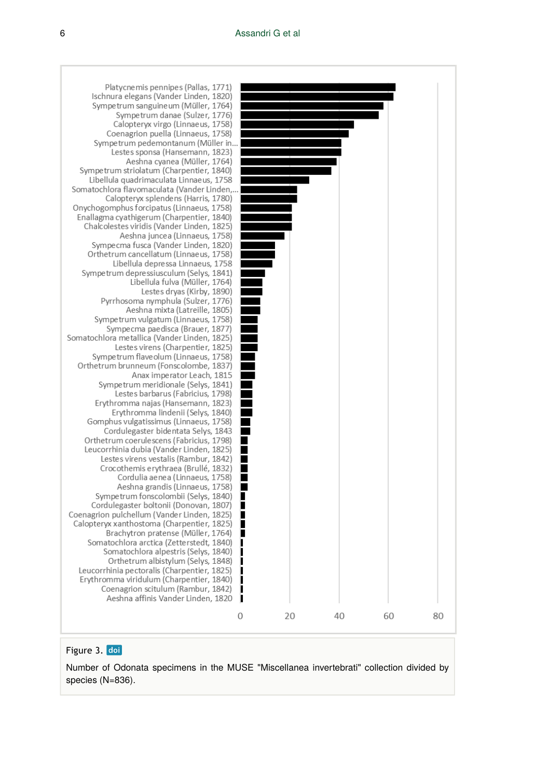

#### Figure 3. doi

Number of Odonata specimens in the MUSE "Miscellanea invertebrati" collection divided by species (N=836).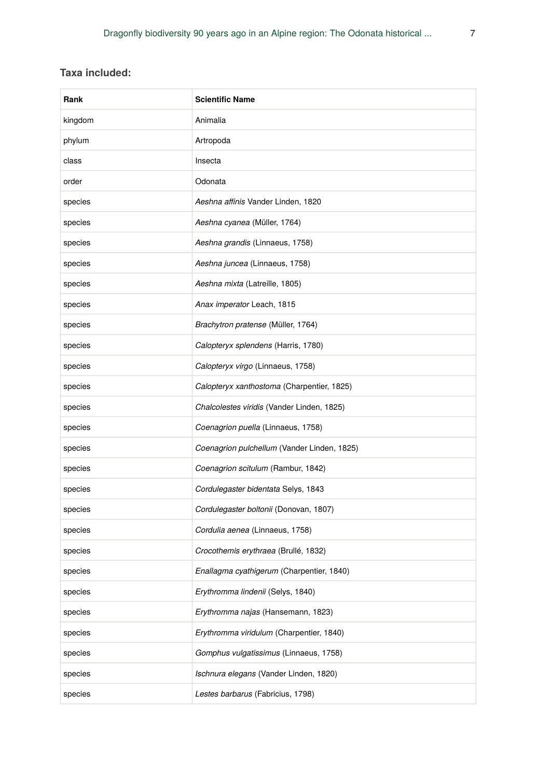### **Taxa included:**

| Rank    | <b>Scientific Name</b>                      |
|---------|---------------------------------------------|
| kingdom | Animalia                                    |
| phylum  | Artropoda                                   |
| class   | Insecta                                     |
| order   | Odonata                                     |
| species | Aeshna affinis Vander Linden, 1820          |
| species | Aeshna cyanea (Müller, 1764)                |
| species | Aeshna grandis (Linnaeus, 1758)             |
| species | Aeshna juncea (Linnaeus, 1758)              |
| species | Aeshna mixta (Latreille, 1805)              |
| species | Anax imperator Leach, 1815                  |
| species | Brachytron pratense (Müller, 1764)          |
| species | Calopteryx splendens (Harris, 1780)         |
| species | Calopteryx virgo (Linnaeus, 1758)           |
| species | Calopteryx xanthostoma (Charpentier, 1825)  |
| species | Chalcolestes viridis (Vander Linden, 1825)  |
| species | Coenagrion puella (Linnaeus, 1758)          |
| species | Coenagrion pulchellum (Vander Linden, 1825) |
| species | Coenagrion scitulum (Rambur, 1842)          |
| species | Cordulegaster bidentata Selys, 1843         |
| species | Cordulegaster boltonii (Donovan, 1807)      |
| species | Cordulia aenea (Linnaeus, 1758)             |
| species | Crocothemis erythraea (Brullé, 1832)        |
| species | Enallagma cyathigerum (Charpentier, 1840)   |
| species | Erythromma lindenii (Selys, 1840)           |
| species | Erythromma najas (Hansemann, 1823)          |
| species | Erythromma viridulum (Charpentier, 1840)    |
| species | Gomphus vulgatissimus (Linnaeus, 1758)      |
| species | Ischnura elegans (Vander Linden, 1820)      |
| species | Lestes barbarus (Fabricius, 1798)           |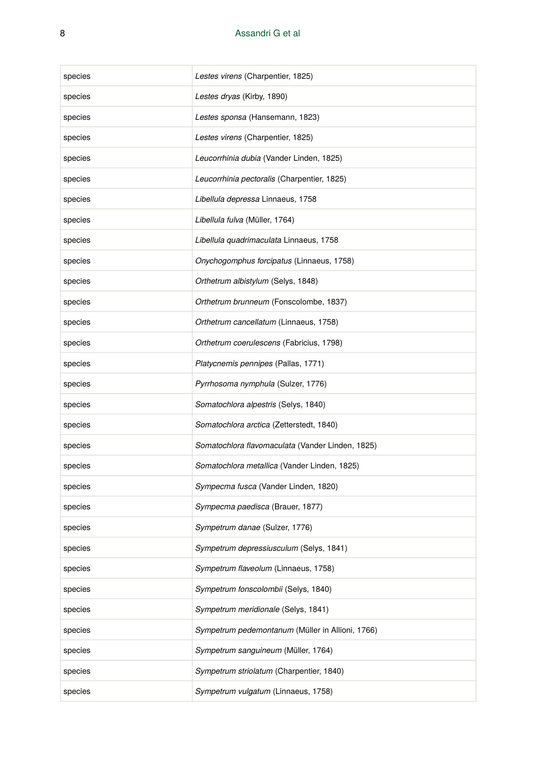| species | Lestes virens (Charpentier, 1825)                |
|---------|--------------------------------------------------|
| species | Lestes dryas (Kirby, 1890)                       |
| species | Lestes sponsa (Hansemann, 1823)                  |
| species | Lestes virens (Charpentier, 1825)                |
| species | Leucorrhinia dubia (Vander Linden, 1825)         |
| species | Leucorrhinia pectoralis (Charpentier, 1825)      |
| species | Libellula depressa Linnaeus, 1758                |
| species | Libellula fulva (Müller, 1764)                   |
| species | Libellula quadrimaculata Linnaeus, 1758          |
| species | Onychogomphus forcipatus (Linnaeus, 1758)        |
| species | Orthetrum albistylum (Selys, 1848)               |
| species | Orthetrum brunneum (Fonscolombe, 1837)           |
| species | Orthetrum cancellatum (Linnaeus, 1758)           |
| species | Orthetrum coerulescens (Fabricius, 1798)         |
| species | Platycnemis pennipes (Pallas, 1771)              |
| species | Pyrrhosoma nymphula (Sulzer, 1776)               |
| species | Somatochlora alpestris (Selys, 1840)             |
| species | Somatochlora arctica (Zetterstedt, 1840)         |
| species | Somatochlora flavomaculata (Vander Linden, 1825) |
| species | Somatochlora metallica (Vander Linden, 1825)     |
| species | Sympecma fusca (Vander Linden, 1820)             |
| species | Sympecma paedisca (Brauer, 1877)                 |
| species | Sympetrum danae (Sulzer, 1776)                   |
| species | Sympetrum depressiusculum (Selys, 1841)          |
| species | Sympetrum flaveolum (Linnaeus, 1758)             |
| species | Sympetrum fonscolombii (Selys, 1840)             |
| species | Sympetrum meridionale (Selys, 1841)              |
| species | Sympetrum pedemontanum (Müller in Allioni, 1766) |
| species | Sympetrum sanguineum (Müller, 1764)              |
| species | Sympetrum striolatum (Charpentier, 1840)         |
| species | Sympetrum vulgatum (Linnaeus, 1758)              |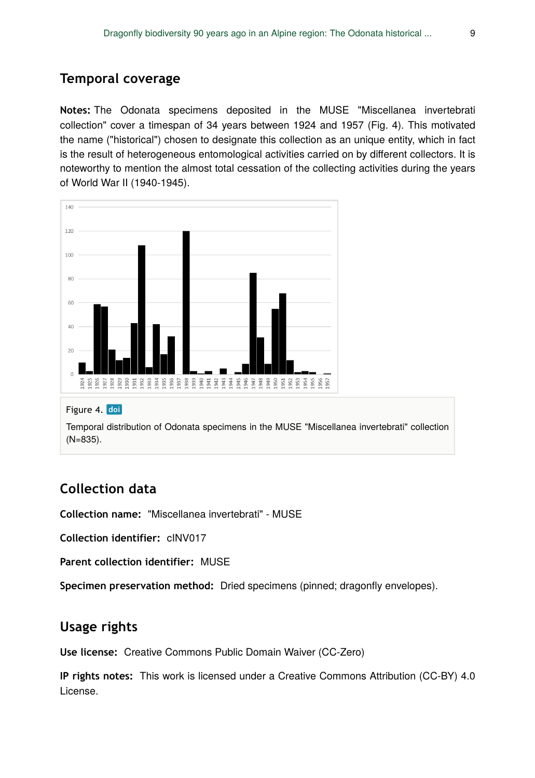# **Temporal coverage**

**Notes:** The Odonata specimens deposited in the MUSE "Miscellanea invertebrati collection" cover a timespan of 34 years between 1924 and 1957 (Fig. 4). This motivated the name ("historical") chosen to designate this collection as an unique entity, which in fact is the result of heterogeneous entomological activities carried on by different collectors. It is noteworthy to mention the almost total cessation of the collecting activities during the years of World War II (1940-1945).



#### Figure 4. doi

Temporal distribution of Odonata specimens in the MUSE "Miscellanea invertebrati" collection (N=835).

# **Collection data**

**Collection name:** "Miscellanea invertebrati" - MUSE

**Collection identifier:** cINV017

**Parent collection identifier:** MUSE

**Specimen preservation method:** Dried specimens (pinned; dragonfly envelopes).

### **Usage rights**

**Use license:** Creative Commons Public Domain Waiver (CC-Zero)

**IP rights notes:** This work is licensed under a Creative Commons Attribution (CC-BY) 4.0 License.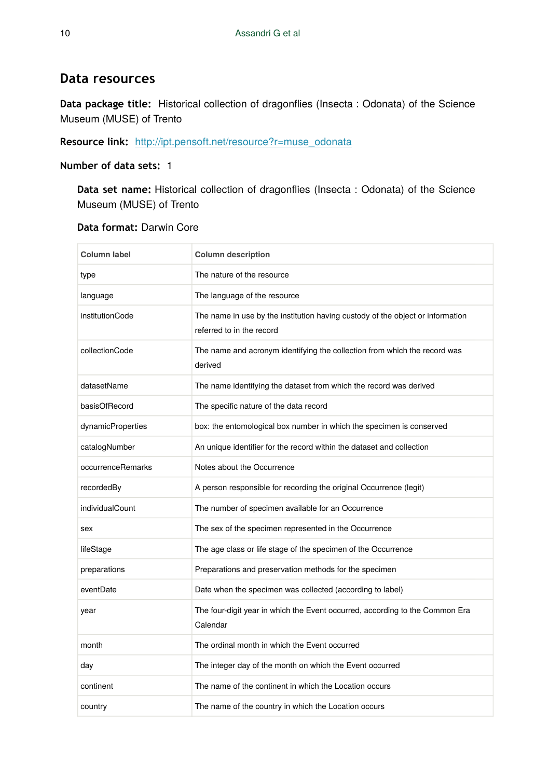### **Data resources**

**Data package title:** Historical collection of dragonflies (Insecta : Odonata) of the Science Museum (MUSE) of Trento

### **Resource link:** [http://ipt.pensoft.net/resource?r=muse\\_odonata](http://ipt.pensoft.net/resource?r=muse_odonata&v=1.7)

#### **Number of data sets:** 1

**Data set name:** Historical collection of dragonflies (Insecta : Odonata) of the Science Museum (MUSE) of Trento

#### **Data format:** Darwin Core

| <b>Column label</b> | <b>Column description</b>                                                                                   |
|---------------------|-------------------------------------------------------------------------------------------------------------|
| type                | The nature of the resource                                                                                  |
| language            | The language of the resource                                                                                |
| institutionCode     | The name in use by the institution having custody of the object or information<br>referred to in the record |
| collectionCode      | The name and acronym identifying the collection from which the record was<br>derived                        |
| datasetName         | The name identifying the dataset from which the record was derived                                          |
| basisOfRecord       | The specific nature of the data record                                                                      |
| dynamicProperties   | box: the entomological box number in which the specimen is conserved                                        |
| catalogNumber       | An unique identifier for the record within the dataset and collection                                       |
| occurrenceRemarks   | Notes about the Occurrence                                                                                  |
| recordedBy          | A person responsible for recording the original Occurrence (legit)                                          |
| individualCount     | The number of specimen available for an Occurrence                                                          |
| sex                 | The sex of the specimen represented in the Occurrence                                                       |
| lifeStage           | The age class or life stage of the specimen of the Occurrence                                               |
| preparations        | Preparations and preservation methods for the specimen                                                      |
| eventDate           | Date when the specimen was collected (according to label)                                                   |
| year                | The four-digit year in which the Event occurred, according to the Common Era<br>Calendar                    |
| month               | The ordinal month in which the Event occurred                                                               |
| day                 | The integer day of the month on which the Event occurred                                                    |
| continent           | The name of the continent in which the Location occurs                                                      |
| country             | The name of the country in which the Location occurs                                                        |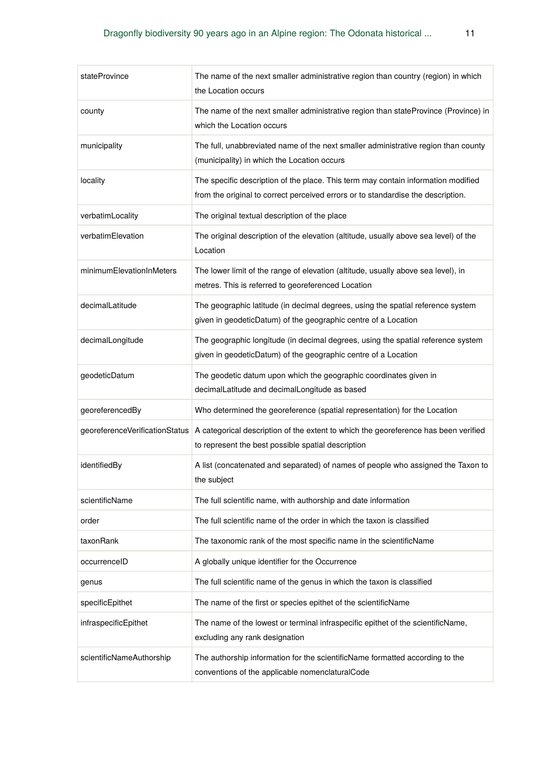| stateProvince                  | The name of the next smaller administrative region than country (region) in which<br>the Location occurs                                                              |
|--------------------------------|-----------------------------------------------------------------------------------------------------------------------------------------------------------------------|
| county                         | The name of the next smaller administrative region than stateProvince (Province) in<br>which the Location occurs                                                      |
| municipality                   | The full, unabbreviated name of the next smaller administrative region than county<br>(municipality) in which the Location occurs                                     |
| locality                       | The specific description of the place. This term may contain information modified<br>from the original to correct perceived errors or to standardise the description. |
| verbatimLocality               | The original textual description of the place                                                                                                                         |
| verbatimElevation              | The original description of the elevation (altitude, usually above sea level) of the<br>Location                                                                      |
| minimumElevationInMeters       | The lower limit of the range of elevation (altitude, usually above sea level), in<br>metres. This is referred to georeferenced Location                               |
| decimalLatitude                | The geographic latitude (in decimal degrees, using the spatial reference system<br>given in geodeticDatum) of the geographic centre of a Location                     |
| decimalLongitude               | The geographic longitude (in decimal degrees, using the spatial reference system<br>given in geodeticDatum) of the geographic centre of a Location                    |
| geodeticDatum                  | The geodetic datum upon which the geographic coordinates given in<br>decimalLatitude and decimalLongitude as based                                                    |
| georeferencedBy                | Who determined the georeference (spatial representation) for the Location                                                                                             |
| georeferenceVerificationStatus | A categorical description of the extent to which the georeference has been verified<br>to represent the best possible spatial description                             |
| identifiedBy                   | A list (concatenated and separated) of names of people who assigned the Taxon to<br>the subject                                                                       |
| scientificName                 | The full scientific name, with authorship and date information                                                                                                        |
| order                          | The full scientific name of the order in which the taxon is classified                                                                                                |
| taxonRank                      | The taxonomic rank of the most specific name in the scientificName                                                                                                    |
| occurrenceID                   | A globally unique identifier for the Occurrence                                                                                                                       |
| genus                          | The full scientific name of the genus in which the taxon is classified                                                                                                |
| specificEpithet                | The name of the first or species epithet of the scientificName                                                                                                        |
| infraspecificEpithet           | The name of the lowest or terminal infraspecific epithet of the scientificName,<br>excluding any rank designation                                                     |
| scientificNameAuthorship       | The authorship information for the scientificName formatted according to the<br>conventions of the applicable nomenclaturalCode                                       |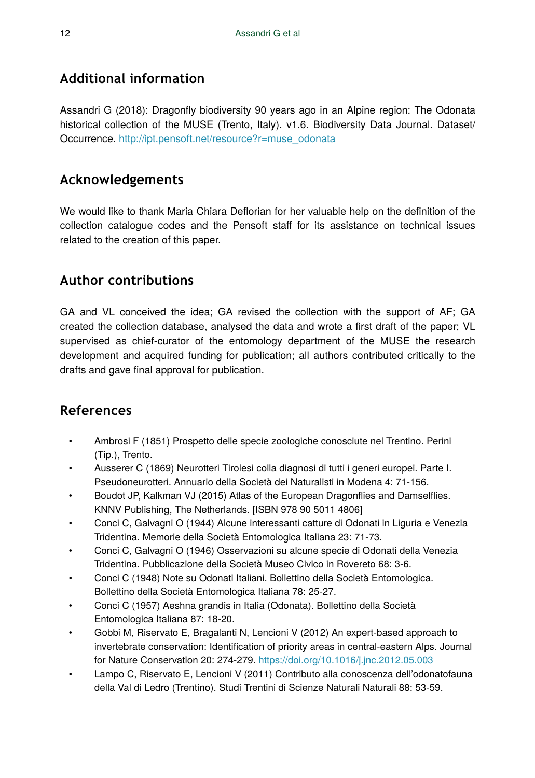# **Additional information**

Assandri G (2018): Dragonfly biodiversity 90 years ago in an Alpine region: The Odonata historical collection of the MUSE (Trento, Italy). v1.6. Biodiversity Data Journal. Dataset/ Occurrence. [http://ipt.pensoft.net/resource?r=muse\\_odonata](http://ipt.pensoft.net/resource?r=muse_odonata&v=1.7)

# **Acknowledgements**

We would like to thank Maria Chiara Deflorian for her valuable help on the definition of the collection catalogue codes and the Pensoft staff for its assistance on technical issues related to the creation of this paper.

# **Author contributions**

GA and VL conceived the idea; GA revised the collection with the support of AF; GA created the collection database, analysed the data and wrote a first draft of the paper; VL supervised as chief-curator of the entomology department of the MUSE the research development and acquired funding for publication; all authors contributed critically to the drafts and gave final approval for publication.

# **References**

- Ambrosi F (1851) Prospetto delle specie zoologiche conosciute nel Trentino. Perini (Tip.), Trento.
- Ausserer C (1869) Neurotteri Tirolesi colla diagnosi di tutti i generi europei. Parte I. Pseudoneurotteri. Annuario della Società dei Naturalisti in Modena 4: 71‑156.
- Boudot JP, Kalkman VJ (2015) Atlas of the European Dragonflies and Damselflies. KNNV Publishing, The Netherlands. [ISBN 978 90 5011 4806]
- Conci C, Galvagni O (1944) Alcune interessanti catture di Odonati in Liguria e Venezia Tridentina. Memorie della Società Entomologica Italiana 23: 71‑73.
- Conci C, Galvagni O (1946) Osservazioni su alcune specie di Odonati della Venezia Tridentina. Pubblicazione della Società Museo Civico in Rovereto 68: 3‑6.
- Conci C (1948) Note su Odonati Italiani. Bollettino della Società Entomologica. Bollettino della Società Entomologica Italiana 78: 25‑27.
- Conci C (1957) Aeshna grandis in Italia (Odonata). Bollettino della Società Entomologica Italiana 87: 18‑20.
- Gobbi M, Riservato E, Bragalanti N, Lencioni V (2012) An expert-based approach to invertebrate conservation: Identification of priority areas in central-eastern Alps. Journal for Nature Conservation 20: 274‑279. <https://doi.org/10.1016/j.jnc.2012.05.003>
- Lampo C, Riservato E, Lencioni V (2011) Contributo alla conoscenza dell'odonatofauna della Val di Ledro (Trentino). Studi Trentini di Scienze Naturali Naturali 88: 53‑59.